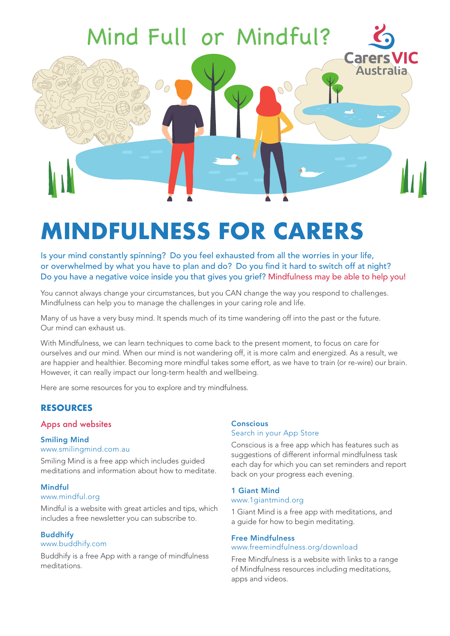

# **MINDFULNESS FOR CARERS**

Is your mind constantly spinning? Do you feel exhausted from all the worries in your life, or overwhelmed by what you have to plan and do? Do you find it hard to switch off at night? Do you have a negative voice inside you that gives you grief? Mindfulness may be able to help you!

You cannot always change your circumstances, but you CAN change the way you respond to challenges. Mindfulness can help you to manage the challenges in your caring role and life.

Many of us have a very busy mind. It spends much of its time wandering off into the past or the future. Our mind can exhaust us.

With Mindfulness, we can learn techniques to come back to the present moment, to focus on care for ourselves and our mind. When our mind is not wandering off, it is more calm and energized. As a result, we are happier and healthier. Becoming more mindful takes some effort, as we have to train (or re-wire) our brain. However, it can really impact our long-term health and wellbeing.

Here are some resources for you to explore and try mindfulness.

# **RESOURCES**

#### Apps and websites

# Smiling Mind

#### www.smilingmind.com.au

Smiling Mind is a free app which includes guided meditations and information about how to meditate.

#### Mindful

#### www.mindful.org

Mindful is a website with great articles and tips, which includes a free newsletter you can subscribe to.

#### **Buddhifv**

#### www.buddhify.com

Buddhify is a free App with a range of mindfulness meditations.

# **Conscious**

# Search in your App Store

Conscious is a free app which has features such as suggestions of different informal mindfulness task each day for which you can set reminders and report back on your progress each evening.

#### 1 Giant Mind

#### www.1giantmind.org

1 Giant Mind is a free app with meditations, and a guide for how to begin meditating.

#### Free Mindfulness

#### www.freemindfulness.org/download

Free Mindfulness is a website with links to a range of Mindfulness resources including meditations, apps and videos.